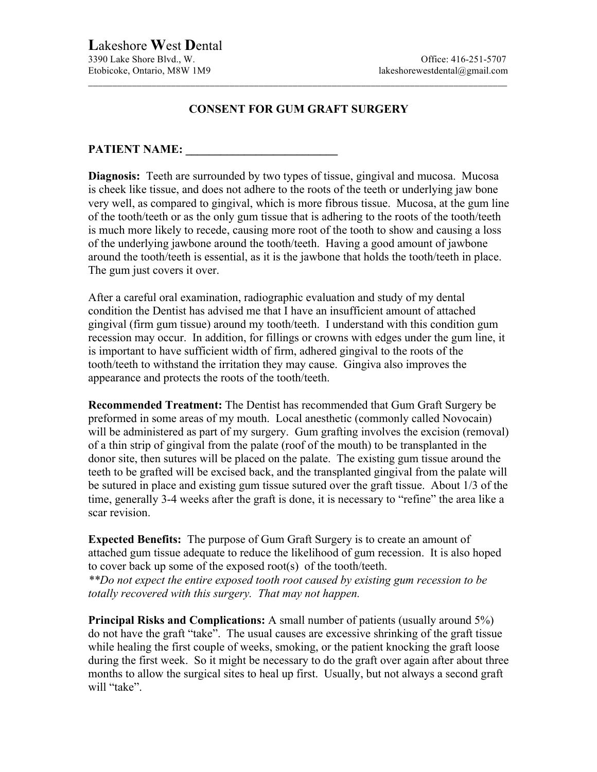## **CONSENT FOR GUM GRAFT SURGERY**

\_\_\_\_\_\_\_\_\_\_\_\_\_\_\_\_\_\_\_\_\_\_\_\_\_\_\_\_\_\_\_\_\_\_\_\_\_\_\_\_\_\_\_\_\_\_\_\_\_\_\_\_\_\_\_\_\_\_\_\_\_\_\_\_\_\_\_\_\_\_\_\_\_\_\_\_\_\_\_\_\_\_\_\_\_\_

## PATIENT NAME:

**Diagnosis:** Teeth are surrounded by two types of tissue, gingival and mucosa. Mucosa is cheek like tissue, and does not adhere to the roots of the teeth or underlying jaw bone very well, as compared to gingival, which is more fibrous tissue. Mucosa, at the gum line of the tooth/teeth or as the only gum tissue that is adhering to the roots of the tooth/teeth is much more likely to recede, causing more root of the tooth to show and causing a loss of the underlying jawbone around the tooth/teeth. Having a good amount of jawbone around the tooth/teeth is essential, as it is the jawbone that holds the tooth/teeth in place. The gum just covers it over.

After a careful oral examination, radiographic evaluation and study of my dental condition the Dentist has advised me that I have an insufficient amount of attached gingival (firm gum tissue) around my tooth/teeth. I understand with this condition gum recession may occur. In addition, for fillings or crowns with edges under the gum line, it is important to have sufficient width of firm, adhered gingival to the roots of the tooth/teeth to withstand the irritation they may cause. Gingiva also improves the appearance and protects the roots of the tooth/teeth.

**Recommended Treatment:** The Dentist has recommended that Gum Graft Surgery be preformed in some areas of my mouth. Local anesthetic (commonly called Novocain) will be administered as part of my surgery. Gum grafting involves the excision (removal) of a thin strip of gingival from the palate (roof of the mouth) to be transplanted in the donor site, then sutures will be placed on the palate. The existing gum tissue around the teeth to be grafted will be excised back, and the transplanted gingival from the palate will be sutured in place and existing gum tissue sutured over the graft tissue. About 1/3 of the time, generally 3-4 weeks after the graft is done, it is necessary to "refine" the area like a scar revision.

**Expected Benefits:** The purpose of Gum Graft Surgery is to create an amount of attached gum tissue adequate to reduce the likelihood of gum recession. It is also hoped to cover back up some of the exposed root(s) of the tooth/teeth. *\*\*Do not expect the entire exposed tooth root caused by existing gum recession to be totally recovered with this surgery. That may not happen.*

**Principal Risks and Complications:** A small number of patients (usually around 5%) do not have the graft "take". The usual causes are excessive shrinking of the graft tissue while healing the first couple of weeks, smoking, or the patient knocking the graft loose during the first week. So it might be necessary to do the graft over again after about three months to allow the surgical sites to heal up first. Usually, but not always a second graft will "take".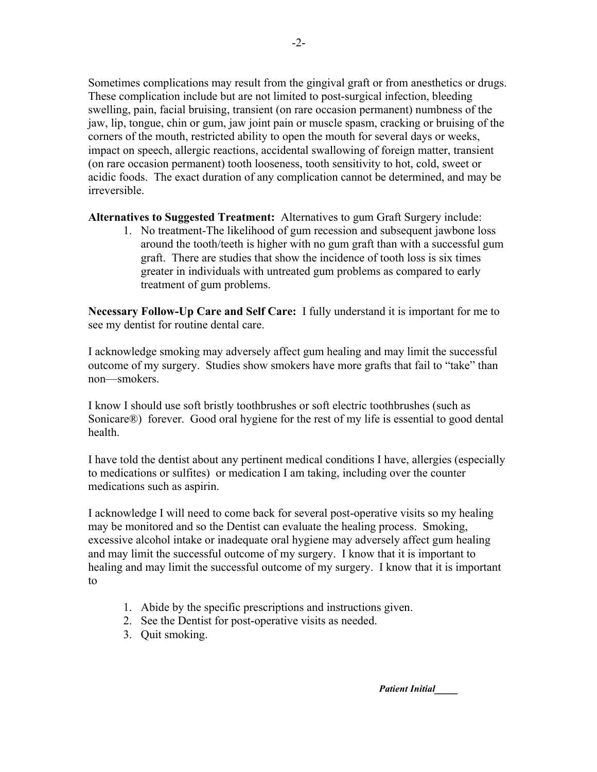Sometimes complications may result from the gingival graft or from anesthetics or drugs. These complication include but are not limited to post-surgical infection, bleeding swelling, pain, facial bruising, transient (on rare occasion permanent) numbness of the jaw, lip, tongue, chin or gum, jaw joint pain or muscle spasm, cracking or bruising of the corners of the mouth, restricted ability to open the mouth for several days or weeks, impact on speech, allergic reactions, accidental swallowing of foreign matter, transient (on rare occasion permanent) tooth looseness, tooth sensitivity to hot, cold, sweet or acidic foods. The exact duration of any complication cannot be determined, and may be irreversible.

**Alternatives to Suggested Treatment:** Alternatives to gum Graft Surgery include:

1. No treatment-The likelihood of gum recession and subsequent jawbone loss around the tooth/teeth is higher with no gum graft than with a successful gum graft. There are studies that show the incidence of tooth loss is six times greater in individuals with untreated gum problems as compared to early treatment of gum problems.

**Necessary Follow-Up Care and Self Care:** I fully understand it is important for me to see my dentist for routine dental care.

I acknowledge smoking may adversely affect gum healing and may limit the successful outcome of my surgery. Studies show smokers have more grafts that fail to "take" than non—smokers.

I know I should use soft bristly toothbrushes or soft electric toothbrushes (such as Sonicare®) forever. Good oral hygiene for the rest of my life is essential to good dental health.

I have told the dentist about any pertinent medical conditions I have, allergies (especially to medications or sulfites) or medication I am taking, including over the counter medications such as aspirin.

I acknowledge I will need to come back for several post-operative visits so my healing may be monitored and so the Dentist can evaluate the healing process. Smoking, excessive alcohol intake or inadequate oral hygiene may adversely affect gum healing and may limit the successful outcome of my surgery. I know that it is important to healing and may limit the successful outcome of my surgery. I know that it is important to

- 1. Abide by the specific prescriptions and instructions given.
- 2. See the Dentist for post-operative visits as needed.
- 3. Quit smoking.

*Patient Initial\_\_\_\_*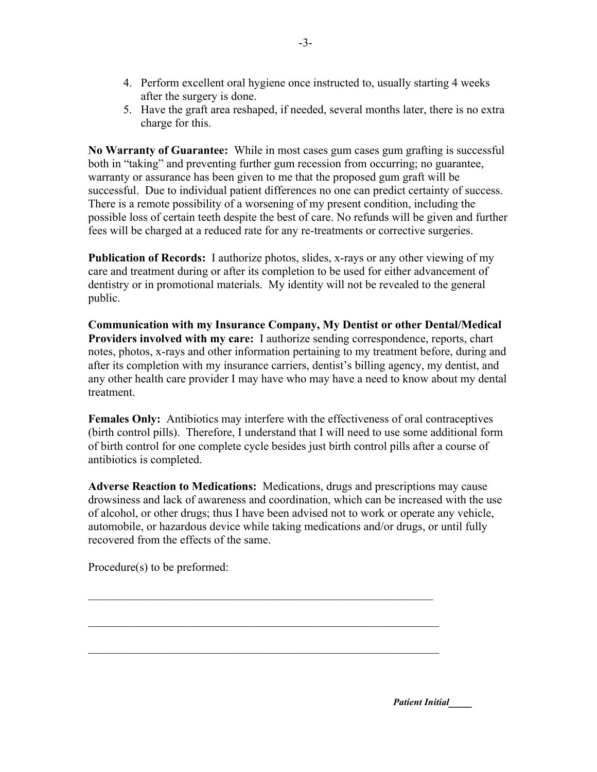- 4. Perform excellent oral hygiene once instructed to, usually starting 4 weeks after the surgery is done.
- 5. Have the graft area reshaped, if needed, several months later, there is no extra charge for this.

**No Warranty of Guarantee:** While in most cases gum cases gum grafting is successful both in "taking" and preventing further gum recession from occurring; no guarantee, warranty or assurance has been given to me that the proposed gum graft will be successful. Due to individual patient differences no one can predict certainty of success. There is a remote possibility of a worsening of my present condition, including the possible loss of certain teeth despite the best of care. No refunds will be given and further fees will be charged at a reduced rate for any re-treatments or corrective surgeries.

**Publication of Records:** I authorize photos, slides, x-rays or any other viewing of my care and treatment during or after its completion to be used for either advancement of dentistry or in promotional materials. My identity will not be revealed to the general public.

**Communication with my Insurance Company, My Dentist or other Dental/Medical Providers involved with my care:** I authorize sending correspondence, reports, chart notes, photos, x-rays and other information pertaining to my treatment before, during and after its completion with my insurance carriers, dentist's billing agency, my dentist, and any other health care provider I may have who may have a need to know about my dental treatment.

**Females Only:** Antibiotics may interfere with the effectiveness of oral contraceptives (birth control pills). Therefore, I understand that I will need to use some additional form of birth control for one complete cycle besides just birth control pills after a course of antibiotics is completed.

**Adverse Reaction to Medications:** Medications, drugs and prescriptions may cause drowsiness and lack of awareness and coordination, which can be increased with the use of alcohol, or other drugs; thus I have been advised not to work or operate any vehicle, automobile, or hazardous device while taking medications and/or drugs, or until fully recovered from the effects of the same.

 $\mathcal{L}_\text{max}$  , and the contribution of the contribution of the contribution of the contribution of the contribution of the contribution of the contribution of the contribution of the contribution of the contribution of t

 $\mathcal{L}_\text{max}$  , and the contribution of the contribution of the contribution of the contribution of the contribution of the contribution of the contribution of the contribution of the contribution of the contribution of t

 $\mathcal{L}_\text{max}$  , and the contribution of the contribution of the contribution of the contribution of the contribution of the contribution of the contribution of the contribution of the contribution of the contribution of t

Procedure(s) to be preformed:

*Patient Initial\_\_\_\_*